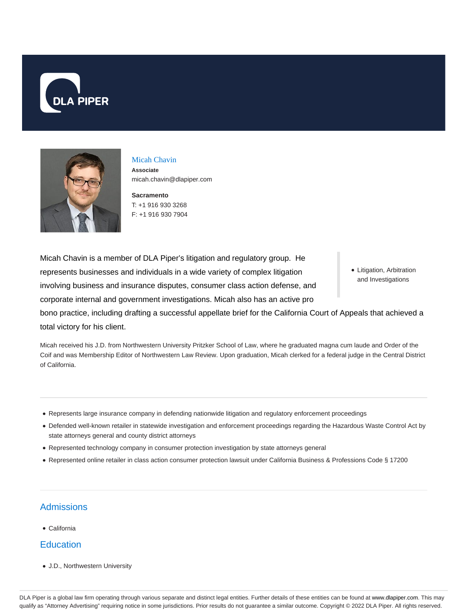



## Micah Chavin

**Associate** micah.chavin@dlapiper.com

**Sacramento** T: +1 916 930 3268 F: +1 916 930 7904

Micah Chavin is a member of DLA Piper's litigation and regulatory group. He represents businesses and individuals in a wide variety of complex litigation involving business and insurance disputes, consumer class action defense, and corporate internal and government investigations. Micah also has an active pro

Litigation, Arbitration and Investigations

bono practice, including drafting a successful appellate brief for the California Court of Appeals that achieved a total victory for his client.

Micah received his J.D. from Northwestern University Pritzker School of Law, where he graduated magna cum laude and Order of the Coif and was Membership Editor of Northwestern Law Review. Upon graduation, Micah clerked for a federal judge in the Central District of California.

- Represents large insurance company in defending nationwide litigation and regulatory enforcement proceedings
- Defended well-known retailer in statewide investigation and enforcement proceedings regarding the Hazardous Waste Control Act by state attorneys general and county district attorneys
- Represented technology company in consumer protection investigation by state attorneys general
- Represented online retailer in class action consumer protection lawsuit under California Business & Professions Code § 17200

## **Admissions**

California

## **Education**

J.D., Northwestern University

DLA Piper is a global law firm operating through various separate and distinct legal entities. Further details of these entities can be found at www.dlapiper.com. This may qualify as "Attorney Advertising" requiring notice in some jurisdictions. Prior results do not guarantee a similar outcome. Copyright © 2022 DLA Piper. All rights reserved.